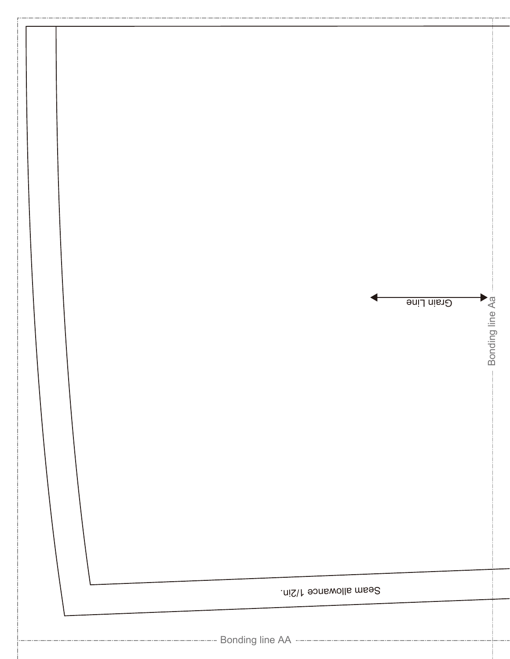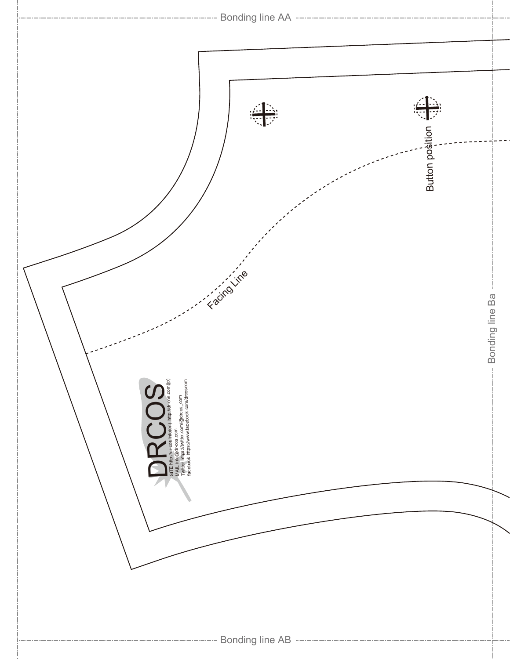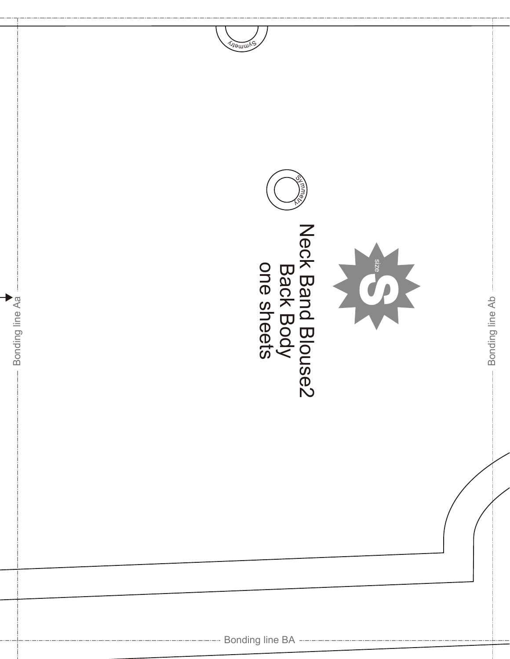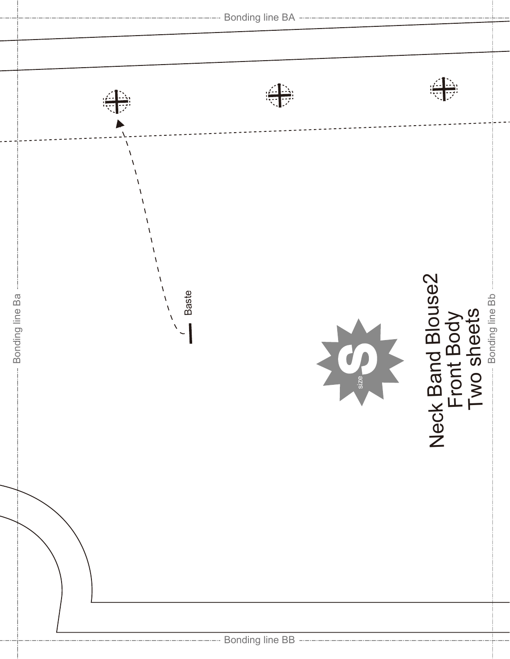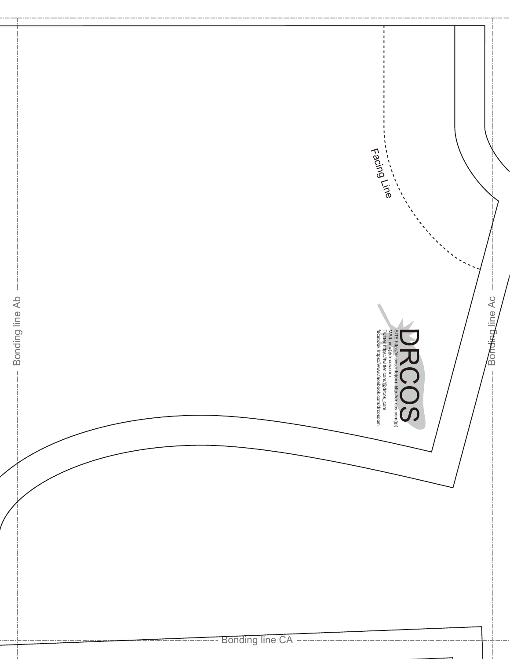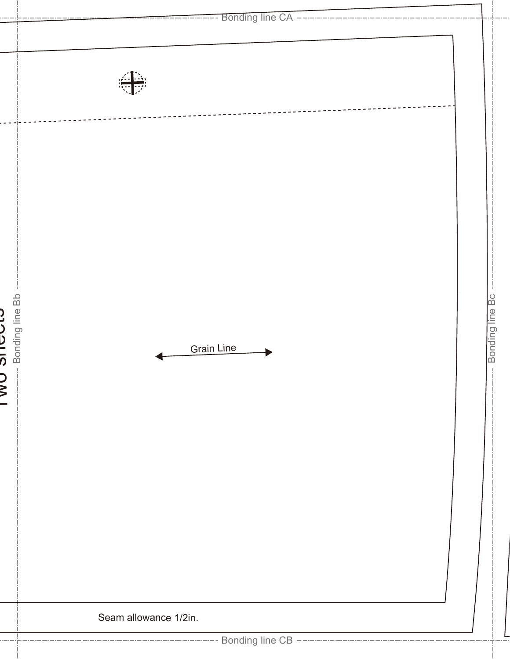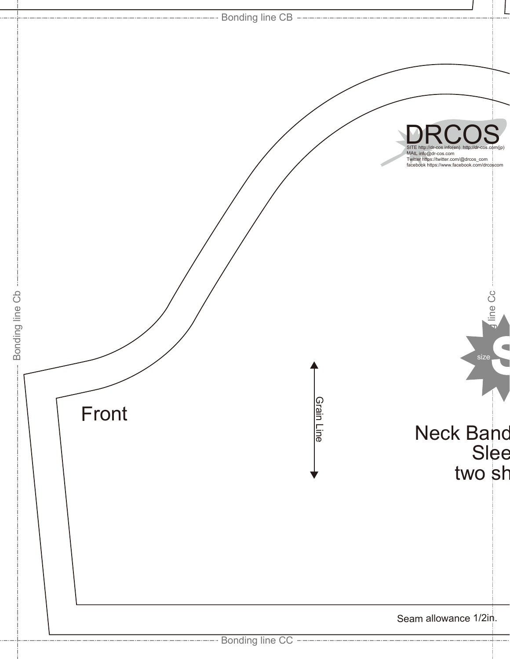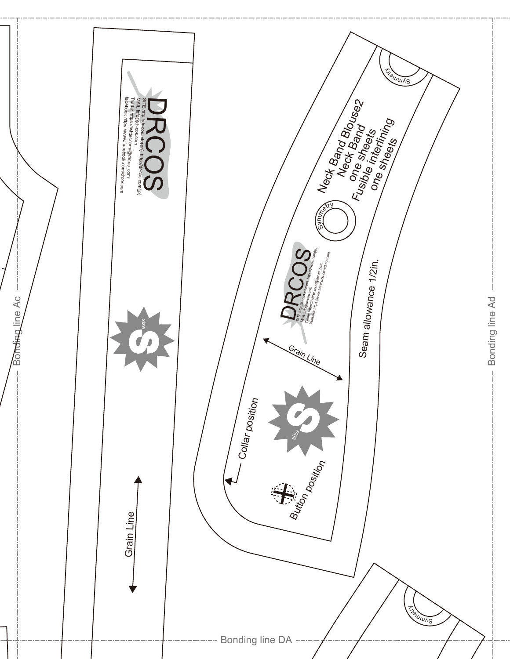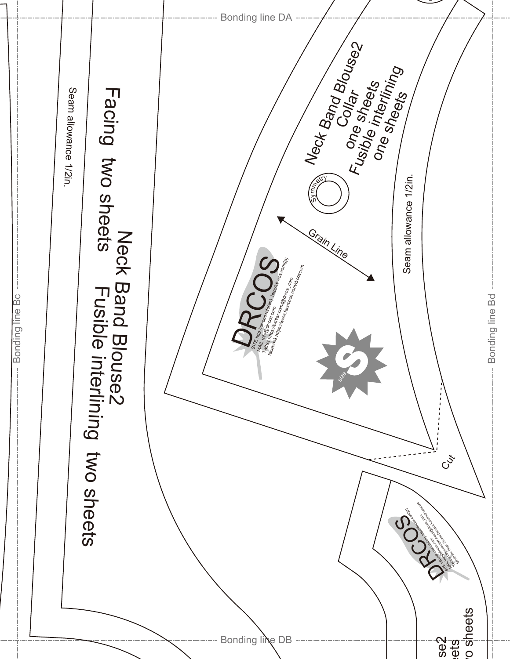